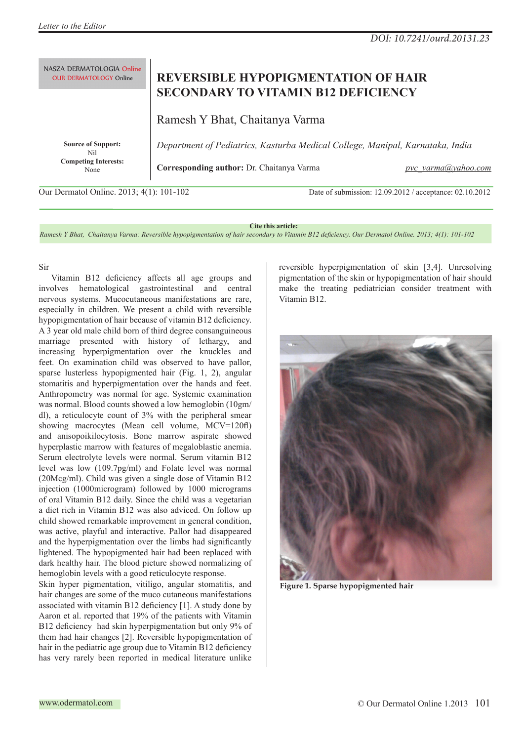| NASZA DERMATOLOGIA Online        | REVERSIBLE HYPOPIGMENTATION OF HAIR                                           |
|----------------------------------|-------------------------------------------------------------------------------|
| <b>OUR DERMATOLOGY Online</b>    | <b>SECONDARY TO VITAMIN B12 DEFICIENCY</b>                                    |
|                                  | Ramesh Y Bhat, Chaitanya Varma                                                |
| <b>Source of Support:</b><br>Nil | Department of Pediatrics, Kasturba Medical College, Manipal, Karnataka, India |
| <b>Competing Interests:</b>      | Corresponding author: Dr. Chaitanya Varma                                     |
| None                             | pvc varma(a)yahoo.com                                                         |

Our Dermatol Online. 2013; 4(1): 101-102 Date of submission: 12.09.2012 / acceptance: 02.10.2012

## **Cite this article:**

*Ramesh Y Bhat, Chaitanya Varma: Reversible hypopigmentation of hair secondary to Vitamin B12 deficiency. Our Dermatol Online. 2013; 4(1): 101-102*

## Sir

Vitamin B12 deficiency affects all age groups and involves hematological gastrointestinal and central nervous systems. Mucocutaneous manifestations are rare, especially in children. We present a child with reversible hypopigmentation of hair because of vitamin B12 deficiency. A 3 year old male child born of third degree consanguineous marriage presented with history of lethargy, and increasing hyperpigmentation over the knuckles and feet. On examination child was observed to have pallor, sparse lusterless hypopigmented hair (Fig. 1, 2), angular stomatitis and hyperpigmentation over the hands and feet. Anthropometry was normal for age. Systemic examination was normal. Blood counts showed a low hemoglobin (10gm/ dl), a reticulocyte count of 3% with the peripheral smear showing macrocytes (Mean cell volume, MCV=120fl) and anisopoikilocytosis. Bone marrow aspirate showed hyperplastic marrow with features of megaloblastic anemia. Serum electrolyte levels were normal. Serum vitamin B12 level was low (109.7pg/ml) and Folate level was normal (20Mcg/ml). Child was given a single dose of Vitamin B12 injection (1000microgram) followed by 1000 micrograms of oral Vitamin B12 daily. Since the child was a vegetarian a diet rich in Vitamin B12 was also adviced. On follow up child showed remarkable improvement in general condition, was active, playful and interactive. Pallor had disappeared and the hyperpigmentation over the limbs had significantly lightened. The hypopigmented hair had been replaced with dark healthy hair. The blood picture showed normalizing of hemoglobin levels with a good reticulocyte response.

Skin hyper pigmentation, vitiligo, angular stomatitis, and hair changes are some of the muco cutaneous manifestations associated with vitamin B12 deficiency [1]. A study done by Aaron et al. reported that 19% of the patients with Vitamin B12 deficiency had skin hyperpigmentation but only 9% of them had hair changes [2]. Reversible hypopigmentation of hair in the pediatric age group due to Vitamin B12 deficiency has very rarely been reported in medical literature unlike

reversible hyperpigmentation of skin [3,4]. Unresolving pigmentation of the skin or hypopigmentation of hair should make the treating pediatrician consider treatment with Vitamin B12.



**Figure 1. Sparse hypopigmented hair**